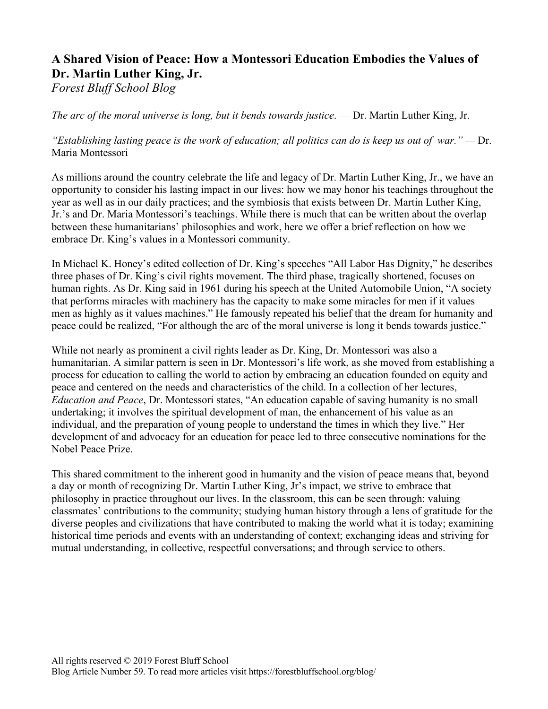# **A Shared Vision of Peace: How a Montessori Education Embodies the Values of Dr. Martin Luther King, Jr.**

*Forest Bluff School Blog*

*The arc of the moral universe is long, but it bends towards justice*. — Dr. Martin Luther King, Jr.

*"Establishing lasting peace is the work of education; all politics can do is keep us out of war." —* Dr. Maria Montessori

As millions around the country celebrate the life and legacy of Dr. Martin Luther King, Jr., we have an opportunity to consider his lasting impact in our lives: how we may honor his teachings throughout the year as well as in our daily practices; and the symbiosis that exists between Dr. Martin Luther King, Jr.'s and Dr. Maria Montessori's teachings. While there is much that can be written about the overlap between these humanitarians' philosophies and work, here we offer a brief reflection on how we embrace Dr. King's values in a Montessori community.

In Michael K. Honey's edited collection of Dr. King's speeches "All Labor Has Dignity," he describes three phases of Dr. King's civil rights movement. The third phase, tragically shortened, focuses on human rights. As Dr. King said in 1961 during his speech at the United Automobile Union, "A society that performs miracles with machinery has the capacity to make some miracles for men if it values men as highly as it values machines." He famously repeated his belief that the dream for humanity and peace could be realized, "For although the arc of the moral universe is long it bends towards justice."

While not nearly as prominent a civil rights leader as Dr. King, Dr. Montessori was also a humanitarian. A similar pattern is seen in Dr. Montessori's life work, as she moved from establishing a process for education to calling the world to action by embracing an education founded on equity and peace and centered on the needs and characteristics of the child. In a collection of her lectures, *Education and Peace*, Dr. Montessori states, "An education capable of saving humanity is no small undertaking; it involves the spiritual development of man, the enhancement of his value as an individual, and the preparation of young people to understand the times in which they live." Her development of and advocacy for an education for peace led to three consecutive nominations for the Nobel Peace Prize.

This shared commitment to the inherent good in humanity and the vision of peace means that, beyond a day or month of recognizing Dr. Martin Luther King, Jr's impact, we strive to embrace that philosophy in practice throughout our lives. In the classroom, this can be seen through: valuing classmates' contributions to the community; studying human history through a lens of gratitude for the diverse peoples and civilizations that have contributed to making the world what it is today; examining historical time periods and events with an understanding of context; exchanging ideas and striving for mutual understanding, in collective, respectful conversations; and through service to others.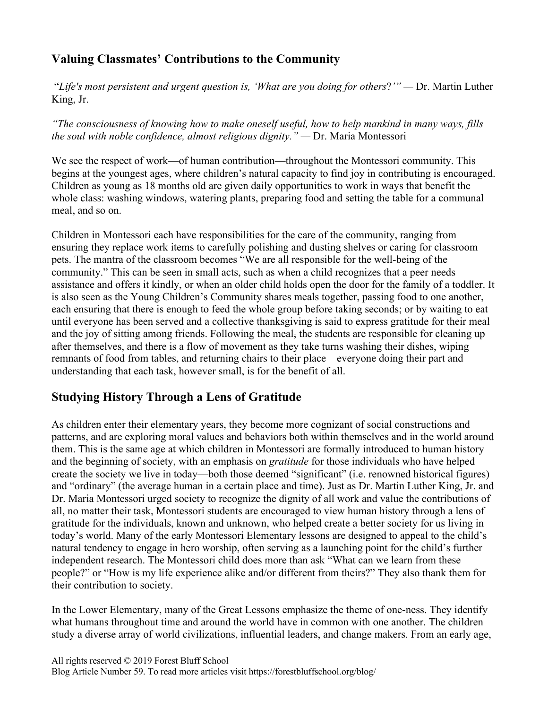## **Valuing Classmates' Contributions to the Community**

"*Life's most persistent and urgent question is, 'What are you doing for others*?*'" —* Dr. Martin Luther King, Jr.

*"The consciousness of knowing how to make oneself useful, how to help mankind in many ways, fills the soul with noble confidence, almost religious dignity." —* Dr. Maria Montessori

We see the respect of work—of human contribution—throughout the Montessori community. This begins at the youngest ages, where children's natural capacity to find joy in contributing is encouraged. Children as young as 18 months old are given daily opportunities to work in ways that benefit the whole class: washing windows, watering plants, preparing food and setting the table for a communal meal, and so on.

Children in Montessori each have responsibilities for the care of the community, ranging from ensuring they replace work items to carefully polishing and dusting shelves or caring for classroom pets. The mantra of the classroom becomes "We are all responsible for the well-being of the community." This can be seen in small acts, such as when a child recognizes that a peer needs assistance and offers it kindly, or when an older child holds open the door for the family of a toddler. It is also seen as the Young Children's Community shares meals together, passing food to one another, each ensuring that there is enough to feed the whole group before taking seconds; or by waiting to eat until everyone has been served and a collective thanksgiving is said to express gratitude for their meal and the joy of sitting among friends. Following the meal, the students are responsible for cleaning up after themselves, and there is a flow of movement as they take turns washing their dishes, wiping remnants of food from tables, and returning chairs to their place—everyone doing their part and understanding that each task, however small, is for the benefit of all.

### **Studying History Through a Lens of Gratitude**

As children enter their elementary years, they become more cognizant of social constructions and patterns, and are exploring moral values and behaviors both within themselves and in the world around them. This is the same age at which children in Montessori are formally introduced to human history and the beginning of society, with an emphasis on *gratitude* for those individuals who have helped create the society we live in today—both those deemed "significant" (i.e. renowned historical figures) and "ordinary" (the average human in a certain place and time). Just as Dr. Martin Luther King, Jr. and Dr. Maria Montessori urged society to recognize the dignity of all work and value the contributions of all, no matter their task, Montessori students are encouraged to view human history through a lens of gratitude for the individuals, known and unknown, who helped create a better society for us living in today's world. Many of the early Montessori Elementary lessons are designed to appeal to the child's natural tendency to engage in hero worship, often serving as a launching point for the child's further independent research. The Montessori child does more than ask "What can we learn from these people?" or "How is my life experience alike and/or different from theirs?" They also thank them for their contribution to society.

In the Lower Elementary, many of the Great Lessons emphasize the theme of one-ness. They identify what humans throughout time and around the world have in common with one another. The children study a diverse array of world civilizations, influential leaders, and change makers. From an early age,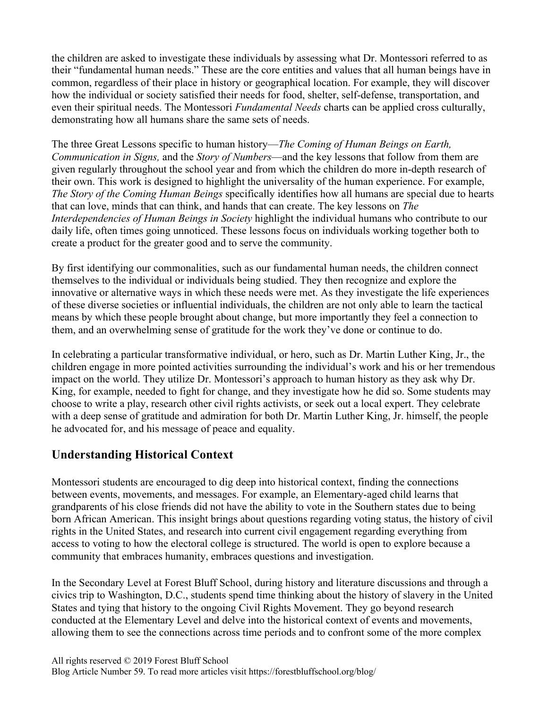the children are asked to investigate these individuals by assessing what Dr. Montessori referred to as their "fundamental human needs." These are the core entities and values that all human beings have in common, regardless of their place in history or geographical location. For example, they will discover how the individual or society satisfied their needs for food, shelter, self-defense, transportation, and even their spiritual needs. The Montessori *Fundamental Needs* charts can be applied cross culturally, demonstrating how all humans share the same sets of needs.

The three Great Lessons specific to human history—*The Coming of Human Beings on Earth, Communication in Signs,* and the *Story of Numbers*—and the key lessons that follow from them are given regularly throughout the school year and from which the children do more in-depth research of their own. This work is designed to highlight the universality of the human experience. For example, *The Story of the Coming Human Beings* specifically identifies how all humans are special due to hearts that can love, minds that can think, and hands that can create. The key lessons on *The Interdependencies of Human Beings in Society* highlight the individual humans who contribute to our daily life, often times going unnoticed. These lessons focus on individuals working together both to create a product for the greater good and to serve the community.

By first identifying our commonalities, such as our fundamental human needs, the children connect themselves to the individual or individuals being studied. They then recognize and explore the innovative or alternative ways in which these needs were met. As they investigate the life experiences of these diverse societies or influential individuals, the children are not only able to learn the tactical means by which these people brought about change, but more importantly they feel a connection to them, and an overwhelming sense of gratitude for the work they've done or continue to do.

In celebrating a particular transformative individual, or hero, such as Dr. Martin Luther King, Jr., the children engage in more pointed activities surrounding the individual's work and his or her tremendous impact on the world. They utilize Dr. Montessori's approach to human history as they ask why Dr. King, for example, needed to fight for change, and they investigate how he did so. Some students may choose to write a play, research other civil rights activists, or seek out a local expert. They celebrate with a deep sense of gratitude and admiration for both Dr. Martin Luther King, Jr. himself, the people he advocated for, and his message of peace and equality.

### **Understanding Historical Context**

Montessori students are encouraged to dig deep into historical context, finding the connections between events, movements, and messages. For example, an Elementary-aged child learns that grandparents of his close friends did not have the ability to vote in the Southern states due to being born African American. This insight brings about questions regarding voting status, the history of civil rights in the United States, and research into current civil engagement regarding everything from access to voting to how the electoral college is structured. The world is open to explore because a community that embraces humanity, embraces questions and investigation.

In the Secondary Level at Forest Bluff School, during history and literature discussions and through a civics trip to Washington, D.C., students spend time thinking about the history of slavery in the United States and tying that history to the ongoing Civil Rights Movement. They go beyond research conducted at the Elementary Level and delve into the historical context of events and movements, allowing them to see the connections across time periods and to confront some of the more complex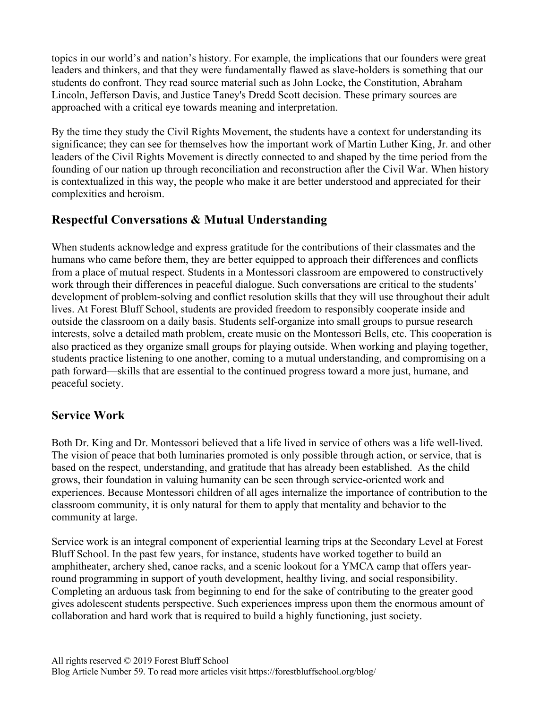topics in our world's and nation's history. For example, the implications that our founders were great leaders and thinkers, and that they were fundamentally flawed as slave-holders is something that our students do confront. They read source material such as John Locke, the Constitution, Abraham Lincoln, Jefferson Davis, and Justice Taney's Dredd Scott decision. These primary sources are approached with a critical eye towards meaning and interpretation.

By the time they study the Civil Rights Movement, the students have a context for understanding its significance; they can see for themselves how the important work of Martin Luther King, Jr. and other leaders of the Civil Rights Movement is directly connected to and shaped by the time period from the founding of our nation up through reconciliation and reconstruction after the Civil War. When history is contextualized in this way, the people who make it are better understood and appreciated for their complexities and heroism.

### **Respectful Conversations & Mutual Understanding**

When students acknowledge and express gratitude for the contributions of their classmates and the humans who came before them, they are better equipped to approach their differences and conflicts from a place of mutual respect. Students in a Montessori classroom are empowered to constructively work through their differences in peaceful dialogue. Such conversations are critical to the students' development of problem-solving and conflict resolution skills that they will use throughout their adult lives. At Forest Bluff School, students are provided freedom to responsibly cooperate inside and outside the classroom on a daily basis. Students self-organize into small groups to pursue research interests, solve a detailed math problem, create music on the Montessori Bells, etc. This cooperation is also practiced as they organize small groups for playing outside. When working and playing together, students practice listening to one another, coming to a mutual understanding, and compromising on a path forward—skills that are essential to the continued progress toward a more just, humane, and peaceful society.

### **Service Work**

Both Dr. King and Dr. Montessori believed that a life lived in service of others was a life well-lived. The vision of peace that both luminaries promoted is only possible through action, or service, that is based on the respect, understanding, and gratitude that has already been established. As the child grows, their foundation in valuing humanity can be seen through service-oriented work and experiences. Because Montessori children of all ages internalize the importance of contribution to the classroom community, it is only natural for them to apply that mentality and behavior to the community at large.

Service work is an integral component of experiential learning trips at the Secondary Level at Forest Bluff School. In the past few years, for instance, students have worked together to build an amphitheater, archery shed, canoe racks, and a scenic lookout for a YMCA camp that offers yearround programming in support of youth development, healthy living, and social responsibility. Completing an arduous task from beginning to end for the sake of contributing to the greater good gives adolescent students perspective. Such experiences impress upon them the enormous amount of collaboration and hard work that is required to build a highly functioning, just society.